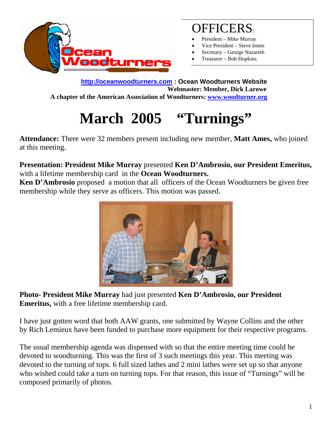

### OFFICERS:

- President Mike Murray
- Vice President Steve Imms
- Secretary George Nazareth
- Treasurer Bob Hopkins

**http://oceanwoodturners.com : Ocean Woodturners Website Webmaster: Member, Dick Larowe A chapter of the American Association of Woodturners: www.woodturner.org** 

# **March 2005 "Turnings"**

**Attendance:** There were 32 members present including new member, **Matt Ames,** who joined at this meeting.

**Presentation: President Mike Murray** presented **Ken D'Ambrosio, our President Emeritus,**  with a lifetime membership card in the **Ocean Woodturners.** 

**Ken D'Ambrosio** proposed a motion that all officers of the Ocean Woodturners be given free membership while they serve as officers. This motion was passed.



**Photo- President Mike Murray** had just presented **Ken D'Ambrosio, our President Emeritus,** with a free lifetime membership card.

I have just gotten word that both AAW grants, one submitted by Wayne Collins and the other by Rich Lemieux have been funded to purchase more equipment for their respective programs.

The usual membership agenda was dispensed with so that the entire meeting time could be devoted to woodturning. This was the first of 3 such meetings this year. This meeting was devoted to the turning of tops. 6 full sized lathes and 2 mini lathes were set up so that anyone who wished could take a turn on turning tops. For that reason, this issue of "Turnings" will be composed primarily of photos.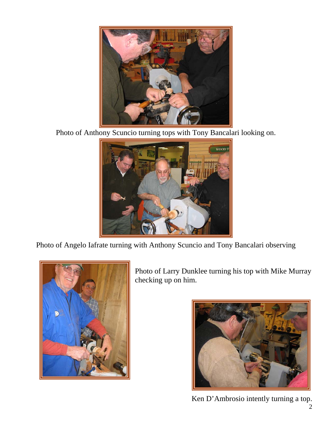

Photo of Anthony Scuncio turning tops with Tony Bancalari looking on.



Photo of Angelo Iafrate turning with Anthony Scuncio and Tony Bancalari observing



Photo of Larry Dunklee turning his top with Mike Murray checking up on him.



Ken D'Ambrosio intently turning a top.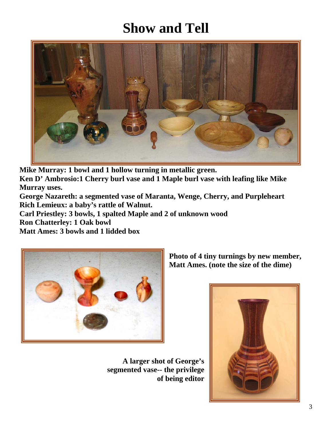## **Show and Tell**



**Mike Murray: 1 bowl and 1 hollow turning in metallic green.** 

**Ken D' Ambrosio:1 Cherry burl vase and 1 Maple burl vase with leafing like Mike Murray uses.** 

**George Nazareth: a segmented vase of Maranta, Wenge, Cherry, and Purpleheart Rich Lemieux: a baby's rattle of Walnut.** 

**Carl Priestley: 3 bowls, 1 spalted Maple and 2 of unknown wood** 

**Ron Chatterley: 1 Oak bowl** 

**Matt Ames: 3 bowls and 1 lidded box** 



**A larger shot of George's segmented vase-- the privilege of being editor** 

**Photo of 4 tiny turnings by new member, Matt Ames. (note the size of the dime)**